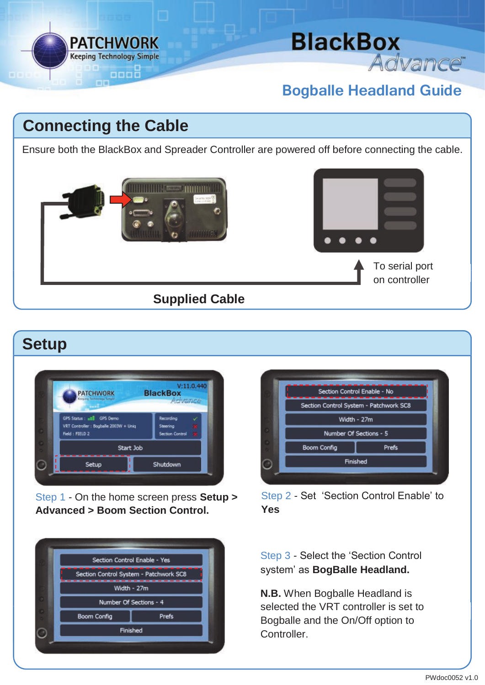

# **BlackBox** Advance<sup>®</sup>

### **Bogballe Headland Guide**

## **Connecting the Cable**

Ensure both the BlackBox and Spreader Controller are powered off before connecting the cable.



#### **Setup**



Step 1 - On the home screen press **Setup > Advanced > Boom Section Control.**

| Section Control Enable - Yes           |       |
|----------------------------------------|-------|
| Section Control System - Patchwork SC8 |       |
| Width - 27m                            |       |
| Number Of Sections - 4                 |       |
| <b>Boom Config</b>                     | Prefs |
| Finished                               |       |



Step 2 - Set 'Section Control Enable' to **Yes**

#### Step 3 - Select the 'Section Control system' as **BogBalle Headland.**

**N.B.** When Bogballe Headland is selected the VRT controller is set to Bogballe and the On/Off option to Controller.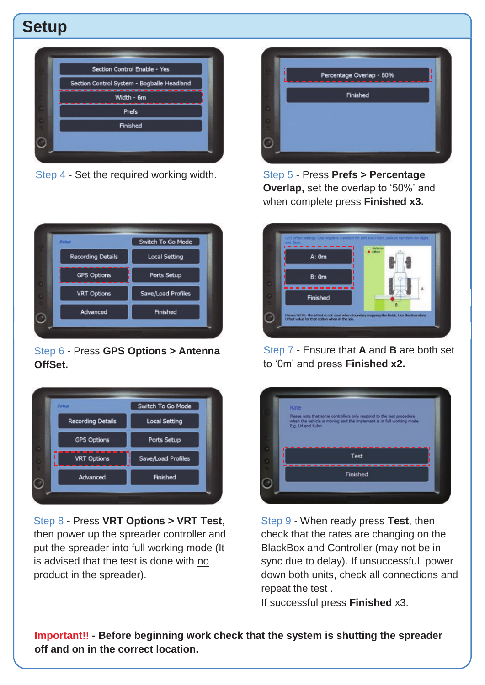## **Setup**



Step 4 - Set the required working width.



Step 6 - Press **GPS Options > Antenna OffSet.**



Step 8 - Press **VRT Options > VRT Test**, then power up the spreader controller and put the spreader into full working mode (It is advised that the test is done with no product in the spreader).



Step 5 - Press **Prefs > Percentage Overlap,** set the overlap to '50%' and when complete press **Finished x3.**



Step 7 - Ensure that **A** and **B** are both set to '0m' and press **Finished x2.**



Step 9 - When ready press **Test**, then check that the rates are changing on the BlackBox and Controller (may not be in sync due to delay). If unsuccessful, power down both units, check all connections and repeat the test .

If successful press **Finished** x3.

**Important!! - Before beginning work check that the system is shutting the spreader off and on in the correct location.**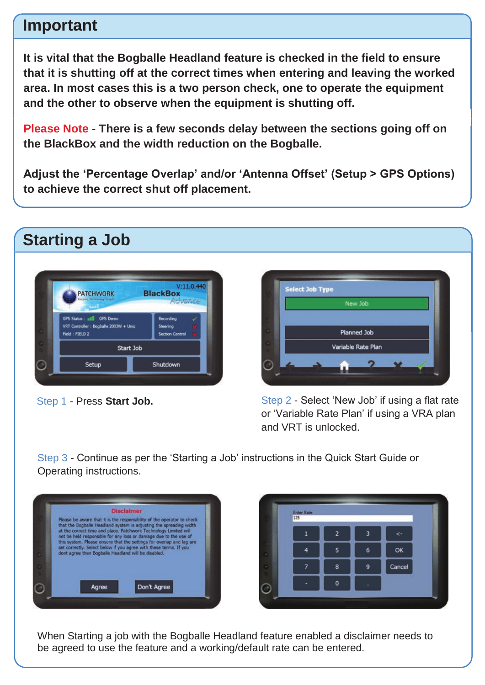#### **Important**

**It is vital that the Bogballe Headland feature is checked in the field to ensure that it is shutting off at the correct times when entering and leaving the worked area. In most cases this is a two person check, one to operate the equipment and the other to observe when the equipment is shutting off.** 

**Please Note - There is a few seconds delay between the sections going off on the BlackBox and the width reduction on the Bogballe.** 

**Adjust the 'Percentage Overlap' and/or 'Antenna Offset' (Setup > GPS Options) to achieve the correct shut off placement.**



Step 1 - Press **Start Job.**



Step 2 - Select 'New Job' if using a flat rate or 'Variable Rate Plan' if using a VRA plan and VRT is unlocked.

Step 3 - Continue as per the 'Starting a Job' instructions in the Quick Start Guide or Operating instructions.



| Enter Rate<br>125 |             |   |        |
|-------------------|-------------|---|--------|
|                   | 2           | 3 | e.     |
| 4                 | 5           | 6 | OK     |
|                   | 8           | Q | Cancel |
|                   | $\mathbf 0$ |   |        |

When Starting a job with the Bogballe Headland feature enabled a disclaimer needs to be agreed to use the feature and a working/default rate can be entered.